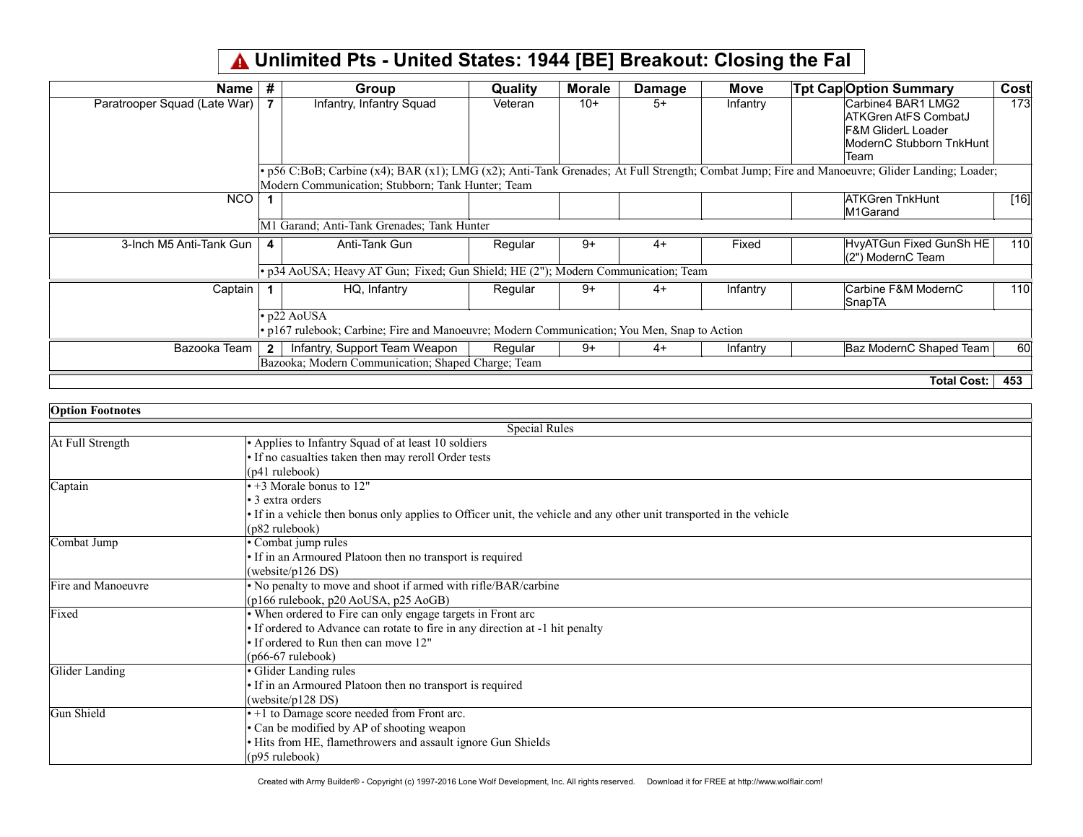## Unlimited Pts - United States: 1944 [BE] Breakout: Closing the Fal

| Name                         | #              | Group                                                                                                                                         | <b>Quality</b> | <b>Morale</b> | <b>Damage</b> | <b>Move</b> | <b>Tpt Cap Option Summary</b> | Cost |
|------------------------------|----------------|-----------------------------------------------------------------------------------------------------------------------------------------------|----------------|---------------|---------------|-------------|-------------------------------|------|
| Paratrooper Squad (Late War) |                | Infantry, Infantry Squad                                                                                                                      | Veteran        | $10+$         | $5+$          | Infantry    | Carbine4 BAR1 LMG2            | 173  |
|                              |                |                                                                                                                                               |                |               |               |             | ATKGren AtFS CombatJ          |      |
|                              |                |                                                                                                                                               |                |               |               |             | <b>F&amp;M GliderL Loader</b> |      |
|                              |                |                                                                                                                                               |                |               |               |             | ModernC Stubborn TnkHunt      |      |
|                              |                |                                                                                                                                               |                |               |               |             | Team                          |      |
|                              |                | • p56 C:BoB; Carbine (x4); BAR (x1); LMG (x2); Anti-Tank Grenades; At Full Strength; Combat Jump; Fire and Manoeuvre; Glider Landing; Loader; |                |               |               |             |                               |      |
|                              |                | Modern Communication; Stubborn; Tank Hunter; Team                                                                                             |                |               |               |             |                               |      |
| <b>NCO</b>                   |                |                                                                                                                                               |                |               |               |             | <b>ATKGren TnkHunt</b>        | [16] |
|                              |                |                                                                                                                                               |                |               |               |             | M1Garand                      |      |
|                              |                | M1 Garand; Anti-Tank Grenades; Tank Hunter                                                                                                    |                |               |               |             |                               |      |
| 3-Inch M5 Anti-Tank Gun      | 4              | Anti-Tank Gun                                                                                                                                 | Regular        | 9+            | $4+$          | Fixed       | HvyATGun Fixed GunSh HE       | 110  |
|                              |                |                                                                                                                                               |                |               |               |             | (2") ModernC Team             |      |
|                              |                | · p34 AoUSA; Heavy AT Gun; Fixed; Gun Shield; HE (2"); Modern Communication; Team                                                             |                |               |               |             |                               |      |
| Captain                      |                | HQ, Infantry                                                                                                                                  | Regular        | 9+            | $4+$          | Infantry    | Carbine F&M ModernC           | 110  |
|                              |                |                                                                                                                                               |                |               |               |             | SnapTA                        |      |
|                              |                | p22 AoUSA                                                                                                                                     |                |               |               |             |                               |      |
|                              |                | • p167 rulebook; Carbine; Fire and Manoeuvre; Modern Communication; You Men, Snap to Action                                                   |                |               |               |             |                               |      |
| Bazooka Team                 | 2 <sup>1</sup> | Infantry, Support Team Weapon                                                                                                                 | Regular        | $9+$          | $4+$          | Infantry    | Baz ModernC Shaped Team       | 60   |
|                              |                | Bazooka; Modern Communication; Shaped Charge; Team                                                                                            |                |               |               |             |                               |      |
|                              |                |                                                                                                                                               |                |               |               |             | __________                    |      |

| Total Cost: 「 453 |  |
|-------------------|--|
|                   |  |

| <b>Option Footnotes</b> |                                                                                                                    |
|-------------------------|--------------------------------------------------------------------------------------------------------------------|
|                         | <b>Special Rules</b>                                                                                               |
| At Full Strength        | • Applies to Infantry Squad of at least 10 soldiers                                                                |
|                         | • If no casualties taken then may reroll Order tests                                                               |
|                         | $(p41$ rulebook)                                                                                                   |
| Captain                 | $\cdot$ +3 Morale bonus to 12"                                                                                     |
|                         | $\cdot$ 3 extra orders                                                                                             |
|                         | If in a vehicle then bonus only applies to Officer unit, the vehicle and any other unit transported in the vehicle |
|                         | $(p82 \text{ rulebook})$                                                                                           |
| Combat Jump             | • Combat jump rules                                                                                                |
|                         | • If in an Armoured Platoon then no transport is required                                                          |
|                         | (website/p $126$ DS)                                                                                               |
| Fire and Manoeuvre      | $\cdot$ No penalty to move and shoot if armed with rifle/BAR/carbine                                               |
|                         | (p166 rulebook, p20 AoUSA, p25 AoGB)                                                                               |
| Fixed                   | • When ordered to Fire can only engage targets in Front arc                                                        |
|                         | • If ordered to Advance can rotate to fire in any direction at -1 hit penalty                                      |
|                         | $\cdot$ If ordered to Run then can move 12"                                                                        |
|                         | $(p66-67 \text{ rulebook})$                                                                                        |
| <b>Glider Landing</b>   | Glider Landing rules                                                                                               |
|                         | • If in an Armoured Platoon then no transport is required                                                          |
|                         | (website/p128 DS)                                                                                                  |
| Gun Shield              | $\cdot$ +1 to Damage score needed from Front arc.                                                                  |
|                         | $\cdot$ Can be modified by AP of shooting weapon                                                                   |
|                         | • Hits from HE, flamethrowers and assault ignore Gun Shields                                                       |
|                         | $(p95 \text{ rulebook})$                                                                                           |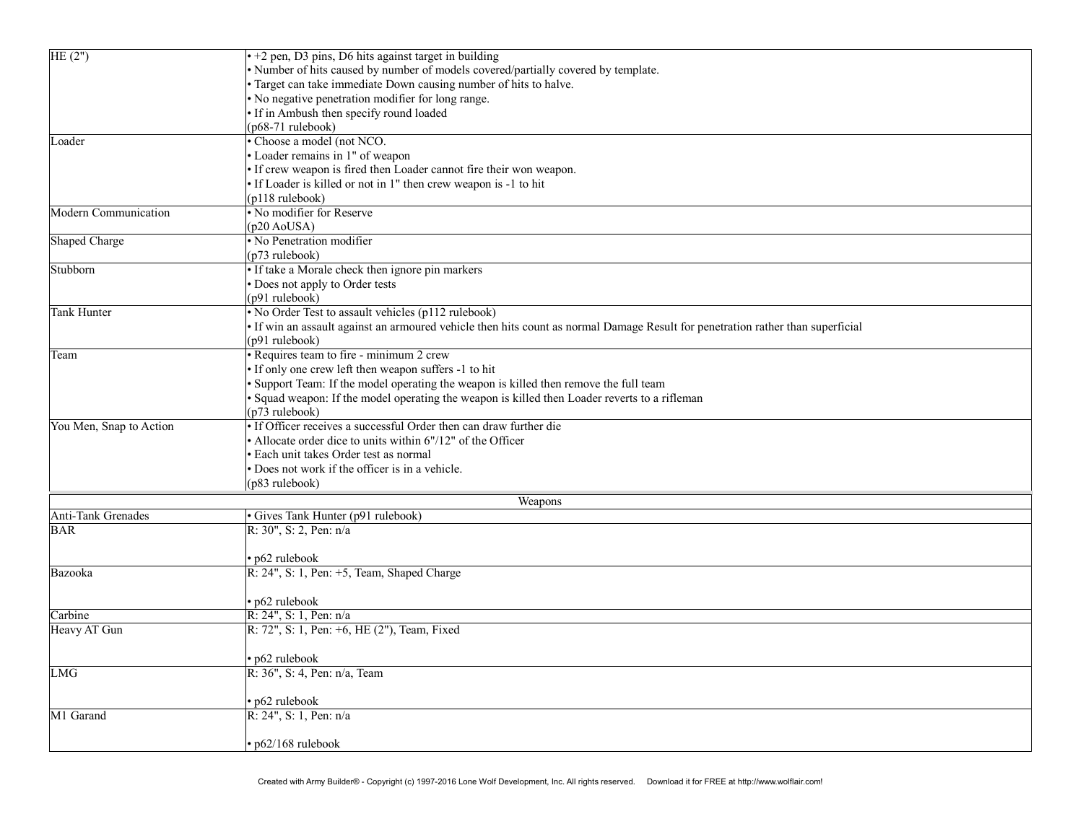| $\overline{\text{HE}(2)}$ | $\cdot$ +2 pen, D3 pins, D6 hits against target in building                                                                     |  |  |  |  |
|---------------------------|---------------------------------------------------------------------------------------------------------------------------------|--|--|--|--|
|                           | • Number of hits caused by number of models covered/partially covered by template.                                              |  |  |  |  |
|                           | · Target can take immediate Down causing number of hits to halve.                                                               |  |  |  |  |
|                           | • No negative penetration modifier for long range.                                                                              |  |  |  |  |
|                           | · If in Ambush then specify round loaded                                                                                        |  |  |  |  |
|                           | $(p68-71$ rulebook)                                                                                                             |  |  |  |  |
| Loader                    | · Choose a model (not NCO.                                                                                                      |  |  |  |  |
|                           | • Loader remains in 1" of weapon                                                                                                |  |  |  |  |
|                           | • If crew weapon is fired then Loader cannot fire their won weapon.                                                             |  |  |  |  |
|                           | • If Loader is killed or not in 1" then crew weapon is -1 to hit                                                                |  |  |  |  |
|                           | (p118 rulebook)                                                                                                                 |  |  |  |  |
| Modern Communication      | • No modifier for Reserve                                                                                                       |  |  |  |  |
|                           | $(p20 \text{ AoUSA})$                                                                                                           |  |  |  |  |
| Shaped Charge             | • No Penetration modifier                                                                                                       |  |  |  |  |
|                           | (p73 rulebook)                                                                                                                  |  |  |  |  |
| Stubborn                  | • If take a Morale check then ignore pin markers                                                                                |  |  |  |  |
|                           | • Does not apply to Order tests                                                                                                 |  |  |  |  |
|                           | (p91 rulebook)                                                                                                                  |  |  |  |  |
| <b>Tank Hunter</b>        | • No Order Test to assault vehicles (p112 rulebook)                                                                             |  |  |  |  |
|                           | · If win an assault against an armoured vehicle then hits count as normal Damage Result for penetration rather than superficial |  |  |  |  |
|                           | (p91 rulebook)                                                                                                                  |  |  |  |  |
| Team                      | • Requires team to fire - minimum 2 crew                                                                                        |  |  |  |  |
|                           | • If only one crew left then weapon suffers -1 to hit                                                                           |  |  |  |  |
|                           | • Support Team: If the model operating the weapon is killed then remove the full team                                           |  |  |  |  |
|                           | · Squad weapon: If the model operating the weapon is killed then Loader reverts to a rifleman                                   |  |  |  |  |
|                           | $(p73 \text{ rulebook})$                                                                                                        |  |  |  |  |
| You Men, Snap to Action   | • If Officer receives a successful Order then can draw further die                                                              |  |  |  |  |
|                           | • Allocate order dice to units within 6"/12" of the Officer                                                                     |  |  |  |  |
|                           | • Each unit takes Order test as normal                                                                                          |  |  |  |  |
|                           | • Does not work if the officer is in a vehicle.                                                                                 |  |  |  |  |
|                           | (p83 rulebook)                                                                                                                  |  |  |  |  |
|                           | Weapons                                                                                                                         |  |  |  |  |
| Anti-Tank Grenades        | • Gives Tank Hunter (p91 rulebook)                                                                                              |  |  |  |  |
| <b>BAR</b>                | R: $30$ ", S: 2, Pen: $n/a$                                                                                                     |  |  |  |  |
|                           |                                                                                                                                 |  |  |  |  |
|                           | • p62 rulebook                                                                                                                  |  |  |  |  |
| Bazooka                   | R: 24", S: 1, Pen: +5, Team, Shaped Charge                                                                                      |  |  |  |  |
|                           |                                                                                                                                 |  |  |  |  |
| Carbine                   | • p62 rulebook<br>$R: 24$ ", S: 1, Pen: n/a                                                                                     |  |  |  |  |
|                           | R: 72", S: 1, Pen: +6, HE (2"), Team, Fixed                                                                                     |  |  |  |  |
| Heavy AT Gun              |                                                                                                                                 |  |  |  |  |
|                           | • p62 rulebook                                                                                                                  |  |  |  |  |
| LMG                       | R: 36", S: 4, Pen: n/a, Team                                                                                                    |  |  |  |  |
|                           |                                                                                                                                 |  |  |  |  |
|                           | • p62 rulebook                                                                                                                  |  |  |  |  |
| M1 Garand                 | $R: 24$ ", S: 1, Pen: n/a                                                                                                       |  |  |  |  |
|                           |                                                                                                                                 |  |  |  |  |
|                           | · p62/168 rulebook                                                                                                              |  |  |  |  |
|                           |                                                                                                                                 |  |  |  |  |